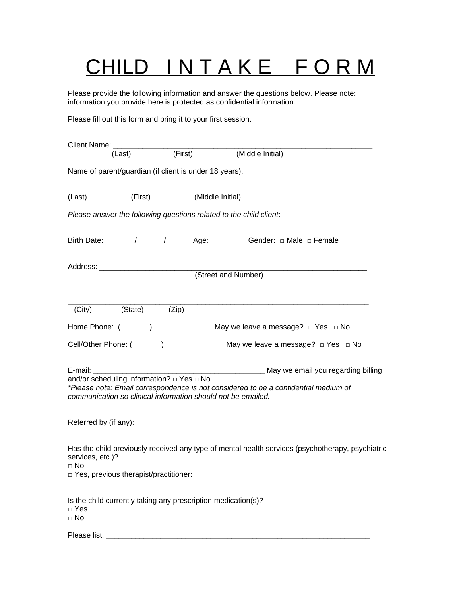## CHILD INTAKE FORM

Please provide the following information and answer the questions below. Please note: information you provide here is protected as confidential information.

Please fill out this form and bring it to your first session.

|                               | Client Name: __________________                     |                                                               |                                                                                                                                                     |
|-------------------------------|-----------------------------------------------------|---------------------------------------------------------------|-----------------------------------------------------------------------------------------------------------------------------------------------------|
|                               | (Last)                                              | $\overline{(First)}$                                          | (Middle Initial)                                                                                                                                    |
|                               |                                                     | Name of parent/guardian (if client is under 18 years):        |                                                                                                                                                     |
| (Last)                        | (First)                                             | (Middle Initial)                                              |                                                                                                                                                     |
|                               |                                                     |                                                               | Please answer the following questions related to the child client:                                                                                  |
|                               |                                                     |                                                               | Birth Date: ______ /_____ /_____ Age: _______ Gender: $\Box$ Male $\Box$ Female                                                                     |
|                               |                                                     |                                                               | (Street and Number)                                                                                                                                 |
|                               |                                                     |                                                               |                                                                                                                                                     |
| (City)                        | (State)                                             | (Zip)                                                         |                                                                                                                                                     |
| Home Phone: (                 | $\mathcal{E}$                                       |                                                               | May we leave a message? $\Box$ Yes $\Box$ No                                                                                                        |
| Cell/Other Phone: (           |                                                     | $\mathcal{E}$                                                 | May we leave a message? $\Box$ Yes $\Box$ No                                                                                                        |
| E-mail:                       |                                                     |                                                               | May we email you regarding billing                                                                                                                  |
|                               | and/or scheduling information? $\Box$ Yes $\Box$ No |                                                               | *Please note: Email correspondence is not considered to be a confidential medium of<br>communication so clinical information should not be emailed. |
|                               |                                                     |                                                               |                                                                                                                                                     |
| services, etc.)?<br>$\Box$ No |                                                     |                                                               | Has the child previously received any type of mental health services (psychotherapy, psychiatric                                                    |
|                               | □ Yes, previous therapist/practitioner:             |                                                               |                                                                                                                                                     |
| $\Box$ Yes<br>$\Box$ No       |                                                     | Is the child currently taking any prescription medication(s)? |                                                                                                                                                     |
|                               |                                                     |                                                               |                                                                                                                                                     |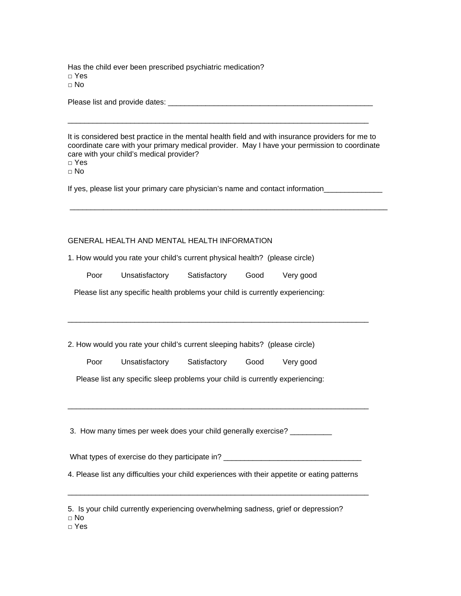Has the child ever been prescribed psychiatric medication? □ Yes □ No

Please list and provide dates: \_\_\_\_\_\_\_\_\_\_\_\_\_\_\_\_\_\_\_\_\_\_\_\_\_\_\_\_\_\_\_\_\_\_\_\_\_\_\_\_\_\_\_\_\_\_\_\_\_

It is considered best practice in the mental health field and with insurance providers for me to coordinate care with your primary medical provider. May I have your permission to coordinate care with your child's medical provider?

 $\overline{\phantom{a}}$  ,  $\overline{\phantom{a}}$  ,  $\overline{\phantom{a}}$  ,  $\overline{\phantom{a}}$  ,  $\overline{\phantom{a}}$  ,  $\overline{\phantom{a}}$  ,  $\overline{\phantom{a}}$  ,  $\overline{\phantom{a}}$  ,  $\overline{\phantom{a}}$  ,  $\overline{\phantom{a}}$  ,  $\overline{\phantom{a}}$  ,  $\overline{\phantom{a}}$  ,  $\overline{\phantom{a}}$  ,  $\overline{\phantom{a}}$  ,  $\overline{\phantom{a}}$  ,  $\overline{\phantom{a}}$ 

□ Yes

 $\Box$  No

If yes, please list your primary care physician's name and contact information

\_\_\_\_\_\_\_\_\_\_\_\_\_\_\_\_\_\_\_\_\_\_\_\_\_\_\_\_\_\_\_\_\_\_\_\_\_\_\_\_\_\_\_\_\_\_\_\_\_\_\_\_\_\_\_\_\_\_\_\_\_\_\_\_\_\_\_\_\_\_\_\_\_\_\_\_

## GENERAL HEALTH AND MENTAL HEALTH INFORMATION

1. How would you rate your child's current physical health? (please circle)

| Poor | Unsatisfactory | Satisfactory | Good | Very good |
|------|----------------|--------------|------|-----------|
|      |                |              |      |           |

Please list any specific health problems your child is currently experiencing:

 $\overline{\phantom{a}}$  ,  $\overline{\phantom{a}}$  ,  $\overline{\phantom{a}}$  ,  $\overline{\phantom{a}}$  ,  $\overline{\phantom{a}}$  ,  $\overline{\phantom{a}}$  ,  $\overline{\phantom{a}}$  ,  $\overline{\phantom{a}}$  ,  $\overline{\phantom{a}}$  ,  $\overline{\phantom{a}}$  ,  $\overline{\phantom{a}}$  ,  $\overline{\phantom{a}}$  ,  $\overline{\phantom{a}}$  ,  $\overline{\phantom{a}}$  ,  $\overline{\phantom{a}}$  ,  $\overline{\phantom{a}}$ 

2. How would you rate your child's current sleeping habits? (please circle)

Poor Unsatisfactory Satisfactory Good Very good

Please list any specific sleep problems your child is currently experiencing:

3. How many times per week does your child generally exercise? \_\_\_\_\_\_\_\_\_\_\_

What types of exercise do they participate in? \_\_\_\_\_\_\_\_\_\_\_\_\_\_\_\_\_\_\_\_\_\_\_\_\_\_\_\_\_\_\_\_\_

\_\_\_\_\_\_\_\_\_\_\_\_\_\_\_\_\_\_\_\_\_\_\_\_\_\_\_\_\_\_\_\_\_\_\_\_\_\_\_\_\_\_\_\_\_\_\_\_\_\_\_\_\_\_\_\_\_\_\_\_\_\_\_\_\_\_\_\_\_\_\_\_

4. Please list any difficulties your child experiences with their appetite or eating patterns

 $\overline{\phantom{a}}$  ,  $\overline{\phantom{a}}$  ,  $\overline{\phantom{a}}$  ,  $\overline{\phantom{a}}$  ,  $\overline{\phantom{a}}$  ,  $\overline{\phantom{a}}$  ,  $\overline{\phantom{a}}$  ,  $\overline{\phantom{a}}$  ,  $\overline{\phantom{a}}$  ,  $\overline{\phantom{a}}$  ,  $\overline{\phantom{a}}$  ,  $\overline{\phantom{a}}$  ,  $\overline{\phantom{a}}$  ,  $\overline{\phantom{a}}$  ,  $\overline{\phantom{a}}$  ,  $\overline{\phantom{a}}$ 

|  |  | 5. Is your child currently experiencing overwhelming sadness, grief or depression? |  |  |
|--|--|------------------------------------------------------------------------------------|--|--|
|  |  |                                                                                    |  |  |

□ No

□ Yes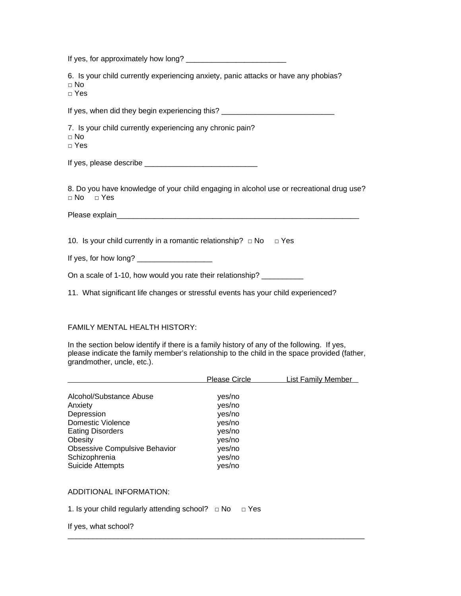| 6. Is your child currently experiencing anxiety, panic attacks or have any phobias?<br>$\Box$ No<br>$\Box$ Yes   |
|------------------------------------------------------------------------------------------------------------------|
| If yes, when did they begin experiencing this? _________________________________                                 |
| 7. Is your child currently experiencing any chronic pain?<br>$\Box$ No<br>$\Box$ Yes                             |
|                                                                                                                  |
| 8. Do you have knowledge of your child engaging in alcohol use or recreational drug use?<br>$\Box$ No $\Box$ Yes |
|                                                                                                                  |
| 10. Is your child currently in a romantic relationship? $\Box$ No $\Box$ Yes                                     |
|                                                                                                                  |
| On a scale of 1-10, how would you rate their relationship? __________                                            |
| 11. What significant life changes or stressful events has your child experienced?                                |

## FAMILY MENTAL HEALTH HISTORY:

In the section below identify if there is a family history of any of the following. If yes, please indicate the family member's relationship to the child in the space provided (father, grandmother, uncle, etc.).

|                                                                                                                                                                                                 | <b>Please Circle</b>                                                                   | <b>List Family Member</b> |
|-------------------------------------------------------------------------------------------------------------------------------------------------------------------------------------------------|----------------------------------------------------------------------------------------|---------------------------|
| Alcohol/Substance Abuse<br>Anxiety<br>Depression<br>Domestic Violence<br><b>Eating Disorders</b><br>Obesity<br><b>Obsessive Compulsive Behavior</b><br>Schizophrenia<br><b>Suicide Attempts</b> | yes/no<br>yes/no<br>yes/no<br>yes/no<br>yes/no<br>yes/no<br>yes/no<br>yes/no<br>yes/no |                           |
| ADDITIONAL INFORMATION:                                                                                                                                                                         |                                                                                        |                           |
| 1. Is your child regularly attending school? $\Box$ No                                                                                                                                          | $\Box$ Yes                                                                             |                           |

\_\_\_\_\_\_\_\_\_\_\_\_\_\_\_\_\_\_\_\_\_\_\_\_\_\_\_\_\_\_\_\_\_\_\_\_\_\_\_\_\_\_\_\_\_\_\_\_\_\_\_\_\_\_\_\_\_\_\_\_\_\_\_\_\_\_\_\_\_\_\_

If yes, what school?